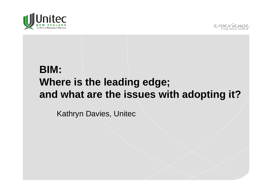



## **BIM: Where is the leading edge; and what are the issues with adopting it?**

Kathryn Davies, Unitec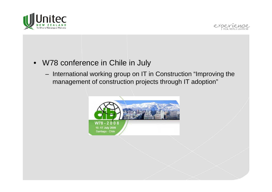



- W78 conference in Chile in July
	- $-$  International working group on IT in Construction "Improving the management of construction projects through IT adoption"

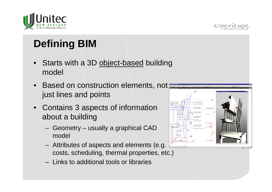

# **Defining BIM**

- Starts with a 3D object-based building model
- Based on construction elements, not just lines and points
- Contains 3 aspects of information about a building
	- Geometry usually a graphical CAD model
	- Attributes of aspects and elements (e.g. costs, scheduling, thermal properties, etc.)
	- Links to additional tools or libraries

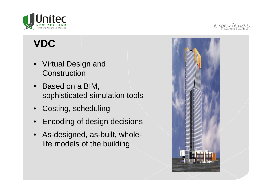

## **VDC**

- Virtual Design and **Construction**
- Based on a BIM, sophisticated simulation tools
- Costing, scheduling
- Encoding of design decisions
- As-designed, as-built, wholelife models of the building

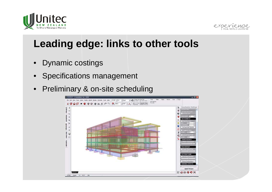



## **Leading edge: links to other tools**

- Dynamic costings
- Specifications management
- Preliminary & on-site scheduling

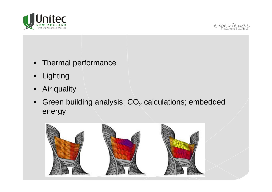



- •Thermal performance
- •Lighting
- •Air quality
- •• Green building analysis;  $\mathsf{CO}_2$  calculations; embedded energy

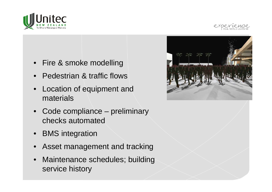



- Fire & smoke modelling
- •Pedestrian & traffic flows
- • Location of equipment and materials
- Code compliance preliminary checks automated
- BMS integration
- •Asset management and tracking
- • Maintenance schedules; building service history

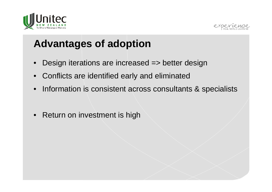



## **Advantages of adoption**

- $\bullet$ Design iterations are increased => better design
- Conflicts are identified early and eliminated
- •Information is consistent across consultants & specialists
- $\bullet$ Return on investment is high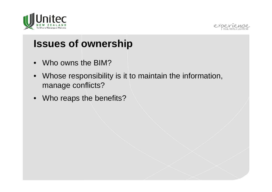



#### **Issues of ownership**

- Who owns the BIM?
- Whose responsibility is it to maintain the information, manage conflicts?
- Who reaps the benefits?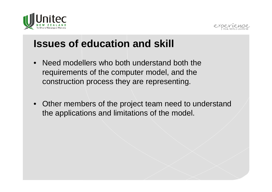



#### **Issues of education and skill**

- $\bullet$  Need modellers who both understand both the requirements of the computer model, and the construction process they are representing.
- Other members of the project team need to understand the applications and limitations of the model.